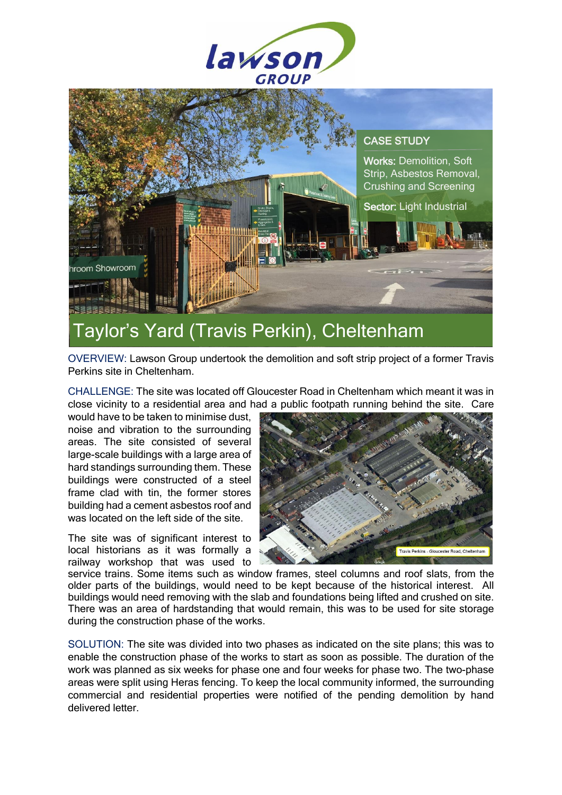



## Taylor's Yard (Travis Perkin), Cheltenham

OVERVIEW: Lawson Group undertook the demolition and soft strip project of a former Travis Perkins site in Cheltenham.

CHALLENGE: The site was located off Gloucester Road in Cheltenham which meant it was in close vicinity to a residential area and had a public footpath running behind the site. Care

would have to be taken to minimise dust, noise and vibration to the surrounding areas. The site consisted of several large-scale buildings with a large area of hard standings surrounding them. These buildings were constructed of a steel frame clad with tin, the former stores building had a cement asbestos roof and was located on the left side of the site.

The site was of significant interest to local historians as it was formally a railway workshop that was used to



service trains. Some items such as window frames, steel columns and roof slats, from the older parts of the buildings, would need to be kept because of the historical interest. All buildings would need removing with the slab and foundations being lifted and crushed on site. There was an area of hardstanding that would remain, this was to be used for site storage during the construction phase of the works.

SOLUTION: The site was divided into two phases as indicated on the site plans; this was to enable the construction phase of the works to start as soon as possible. The duration of the work was planned as six weeks for phase one and four weeks for phase two. The two-phase areas were split using Heras fencing. To keep the local community informed, the surrounding commercial and residential properties were notified of the pending demolition by hand delivered letter.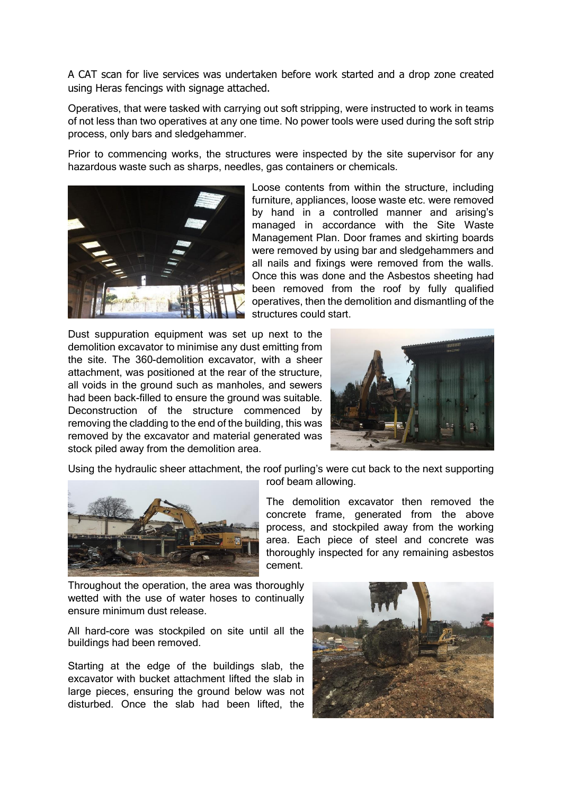A CAT scan for live services was undertaken before work started and a drop zone created using Heras fencings with signage attached.

Operatives, that were tasked with carrying out soft stripping, were instructed to work in teams of not less than two operatives at any one time. No power tools were used during the soft strip process, only bars and sledgehammer.

Prior to commencing works, the structures were inspected by the site supervisor for any hazardous waste such as sharps, needles, gas containers or chemicals.



Loose contents from within the structure, including furniture, appliances, loose waste etc. were removed by hand in a controlled manner and arising's managed in accordance with the Site Waste Management Plan. Door frames and skirting boards were removed by using bar and sledgehammers and all nails and fixings were removed from the walls. Once this was done and the Asbestos sheeting had been removed from the roof by fully qualified operatives, then the demolition and dismantling of the structures could start.

Dust suppuration equipment was set up next to the demolition excavator to minimise any dust emitting from the site. The 360-demolition excavator, with a sheer attachment, was positioned at the rear of the structure, all voids in the ground such as manholes, and sewers had been back-filled to ensure the ground was suitable. Deconstruction of the structure commenced by removing the cladding to the end of the building, this was removed by the excavator and material generated was stock piled away from the demolition area.



Using the hydraulic sheer attachment, the roof purling's were cut back to the next supporting



roof beam allowing.

The demolition excavator then removed the concrete frame, generated from the above process, and stockpiled away from the working area. Each piece of steel and concrete was thoroughly inspected for any remaining asbestos cement.

Throughout the operation, the area was thoroughly wetted with the use of water hoses to continually ensure minimum dust release.

All hard-core was stockpiled on site until all the buildings had been removed.

Starting at the edge of the buildings slab, the excavator with bucket attachment lifted the slab in large pieces, ensuring the ground below was not disturbed. Once the slab had been lifted, the